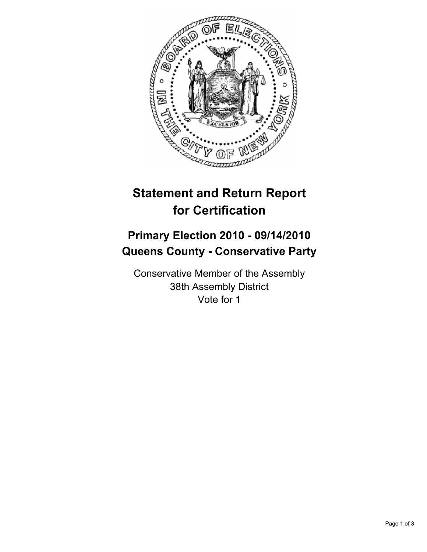

## **Statement and Return Report for Certification**

## **Primary Election 2010 - 09/14/2010 Queens County - Conservative Party**

Conservative Member of the Assembly 38th Assembly District Vote for 1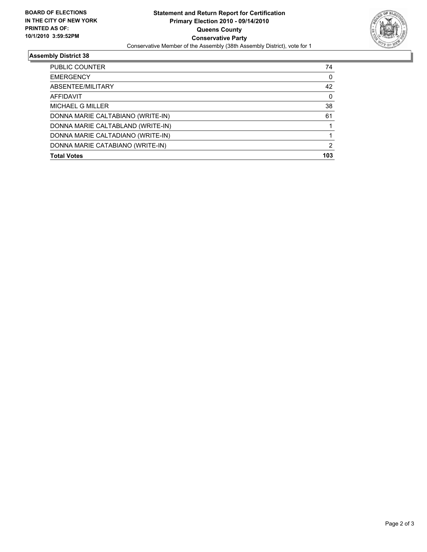

## **Assembly District 38**

| PUBLIC COUNTER                    | 74  |
|-----------------------------------|-----|
| <b>EMERGENCY</b>                  | 0   |
| ABSENTEE/MILITARY                 | 42  |
| <b>AFFIDAVIT</b>                  | 0   |
| MICHAEL G MILLER                  | 38  |
| DONNA MARIE CALTABIANO (WRITE-IN) | 61  |
| DONNA MARIE CALTABLAND (WRITE-IN) |     |
| DONNA MARIE CALTADIANO (WRITE-IN) |     |
| DONNA MARIE CATABIANO (WRITE-IN)  | 2   |
| <b>Total Votes</b>                | 103 |